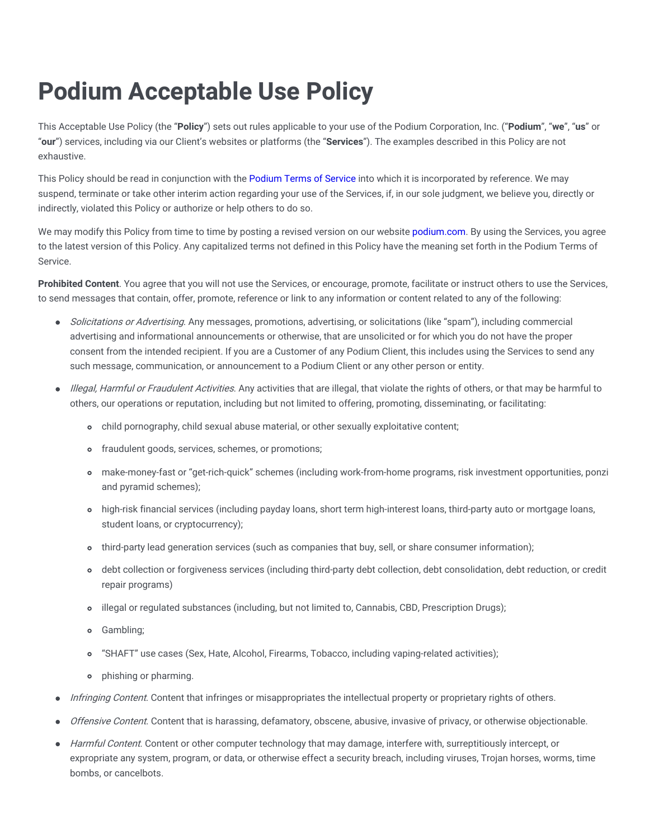## **Podium Acceptable Use Policy**

This Acceptable Use Policy (the "**Policy**") sets out rules applicable to your use of the Podium Corporation, Inc. ("**Podium**", "**we**", "**us**" or "**our**") services, including via our Client's websites or platforms (the "**Services**"). The examples described in this Policy are not exhaustive.

This Policy should be read in conjunction with the [Podium](https://www.podium.com/terms-and-conditions/) Terms of Service into which it is incorporated by reference. We may suspend, terminate or take other interim action regarding your use of the Services, if, in our sole judgment, we believe you, directly or indirectly, violated this Policy or authorize or help others to do so.

We may modify this Policy from time to time by posting a revised version on our website [podium.com.](https://www.podium.com/) By using the Services, you agree to the latest version of this Policy. Any capitalized terms not defined in this Policy have the meaning set forth in the Podium Terms of Service.

**Prohibited Content**. You agree that you will not use the Services, or encourage, promote, facilitate or instruct others to use the Services, to send messages that contain, offer, promote, reference or link to any information or content related to any of the following:

- Solicitations or Advertising. Any messages, promotions, advertising, or solicitations (like "spam"), including commercial  $\bullet$ advertising and informational announcements or otherwise, that are unsolicited or for which you do not have the proper consent from the intended recipient. If you are a Customer of any Podium Client, this includes using the Services to send any such message, communication, or announcement to a Podium Client or any other person or entity.
- Illegal, Harmful or Fraudulent Activities. Any activities that are illegal, that violate the rights of others, or that may be harmful to others, our operations or reputation, including but not limited to offering, promoting, disseminating, or facilitating:
	- child pornography, child sexual abuse material, or other sexually exploitative content;
	- fraudulent goods, services, schemes, or promotions;
	- make-money-fast or "get-rich-quick" schemes (including work-from-home programs, risk investment opportunities, ponzi and pyramid schemes);
	- high-risk financial services (including payday loans, short term high-interest loans, third-party auto or mortgage loans, student loans, or cryptocurrency);
	- o third-party lead generation services (such as companies that buy, sell, or share consumer information);
	- debt collection or forgiveness services (including third-party debt collection, debt consolidation, debt reduction, or credit repair programs)
	- illegal or regulated substances (including, but not limited to, Cannabis, CBD, Prescription Drugs);
	- **o** Gambling;
	- "SHAFT" use cases (Sex, Hate, Alcohol, Firearms, Tobacco, including vaping-related activities);  $\circ$
	- phishing or pharming.
- Infringing Content. Content that infringes or misappropriates the intellectual property or proprietary rights of others.  $\bullet$
- Offensive Content. Content that is harassing, defamatory, obscene, abusive, invasive of privacy, or otherwise objectionable.
- Harmful Content. Content or other computer technology that may damage, interfere with, surreptitiously intercept, or  $\bullet$ expropriate any system, program, or data, or otherwise effect a security breach, including viruses, Trojan horses, worms, time bombs, or cancelbots.